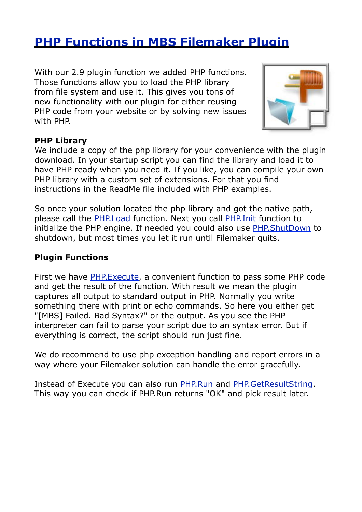# **[PHP Functions in MBS Filemaker Plugin](http://www.mbsplugins.de/archive/2012-10-21/PHP_Functions_in_MBS_Filemaker)**

With our 2.9 plugin function we added PHP functions. Those functions allow you to load the PHP library from file system and use it. This gives you tons of new functionality with our plugin for either reusing PHP code from your website or by solving new issues with PHP.



#### **PHP Library**

We include a copy of the php library for your convenience with the plugin download. In your startup script you can find the library and load it to have PHP ready when you need it. If you like, you can compile your own PHP library with a custom set of extensions. For that you find instructions in the ReadMe file included with PHP examples.

So once your solution located the php library and got the native path, please call the [PHP.Load](http://www.mbsplugins.eu/PHPLoad.shtml) function. Next you call [PHP.Init](http://www.mbsplugins.eu/PHPInit.shtml) function to initialize the PHP engine. If needed you could also use [PHP.ShutDown](http://www.mbsplugins.eu/PHPShutDown.shtml) to shutdown, but most times you let it run until Filemaker quits.

#### **Plugin Functions**

First we have [PHP.Execute](http://www.mbsplugins.eu/PHPExecute.shtml), a convenient function to pass some PHP code and get the result of the function. With result we mean the plugin captures all output to standard output in PHP. Normally you write something there with print or echo commands. So here you either get "[MBS] Failed. Bad Syntax?" or the output. As you see the PHP interpreter can fail to parse your script due to an syntax error. But if everything is correct, the script should run just fine.

We do recommend to use php exception handling and report errors in a way where your Filemaker solution can handle the error gracefully.

Instead of Execute you can also run [PHP.Run](http://www.mbsplugins.eu/PHPRun.shtml) and [PHP.GetResultString](http://www.mbsplugins.eu/PHPGetResultString.shtml). This way you can check if PHP.Run returns "OK" and pick result later.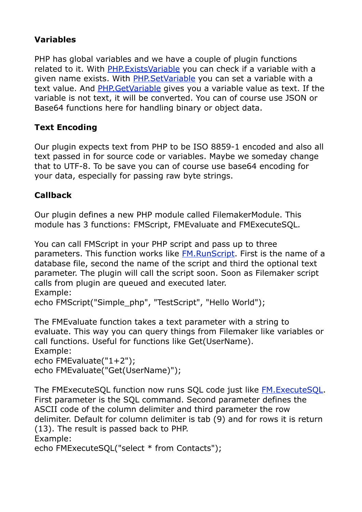# **Variables**

PHP has global variables and we have a couple of plugin functions related to it. With [PHP.ExistsVariable](http://www.mbsplugins.eu/PHPExistsVariable.shtml) you can check if a variable with a given name exists. With [PHP.SetVariable](http://www.mbsplugins.eu/PHPSetVariable.shtml) you can set a variable with a text value. And PHP. GetVariable gives you a variable value as text. If the variable is not text, it will be converted. You can of course use JSON or Base64 functions here for handling binary or object data.

# **Text Encoding**

Our plugin expects text from PHP to be ISO 8859-1 encoded and also all text passed in for source code or variables. Maybe we someday change that to UTF-8. To be save you can of course use base64 encoding for your data, especially for passing raw byte strings.

# **Callback**

Our plugin defines a new PHP module called FilemakerModule. This module has 3 functions: FMScript, FMEvaluate and FMExecuteSQL.

You can call FMScript in your PHP script and pass up to three parameters. This function works like [FM.RunScript.](http://www.mbsplugins.eu/FMRunScript.shtml) First is the name of a database file, second the name of the script and third the optional text parameter. The plugin will call the script soon. Soon as Filemaker script calls from plugin are queued and executed later. Example:

```
echo FMScript("Simple_php", "TestScript", "Hello World");
```
The FMEvaluate function takes a text parameter with a string to evaluate. This way you can query things from Filemaker like variables or call functions. Useful for functions like Get(UserName).

Example: echo FMEvaluate("1+2"); echo FMEvaluate("Get(UserName)");

The FMExecuteSQL function now runs SQL code just like [FM.ExecuteSQL.](http://www.mbsplugins.eu/FMExecuteSQL.shtml) First parameter is the SQL command. Second parameter defines the ASCII code of the column delimiter and third parameter the row delimiter. Default for column delimiter is tab (9) and for rows it is return (13). The result is passed back to PHP. Example:

echo FMExecuteSQL("select \* from Contacts");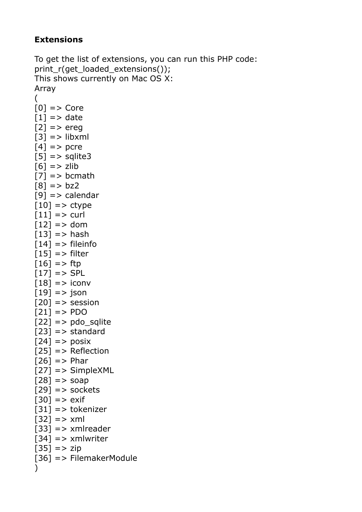#### **Extensions**

```
To get the list of extensions, you can run this PHP code:
print_r(get_loaded_extensions());
This shows currently on Mac OS X:
Array
(
[0] => Core
[1] => date
[2] => ereg
[3] => libxml
[4] => pcre
[5] => sqlite3
[6] => zlib
[7] = > bcmath
[8] = > bz2[9] => calendar
[10] => ctype
[11] => curl
[12] => dom
[13] == hash
[14] => fileinfo
[15] => filter
[16] = > ftp
[17] => SPL
[18] => iconv
[19] = \frac{1}{5} json
[20] => session
[21] = > PDO
[22] => pdo sqlite
[23] => standard
[24] => posix
[25] => Reflection
[26] => Phar
[27] => SimpleXML
[28] = > soap
[29] = \gt; sockets
[30] => exif
[31] => tokenizer
[32] = > xml[33] => xmlreader
[34] => xmlwriter
[35] = > zip[36] => FilemakerModule
)
```